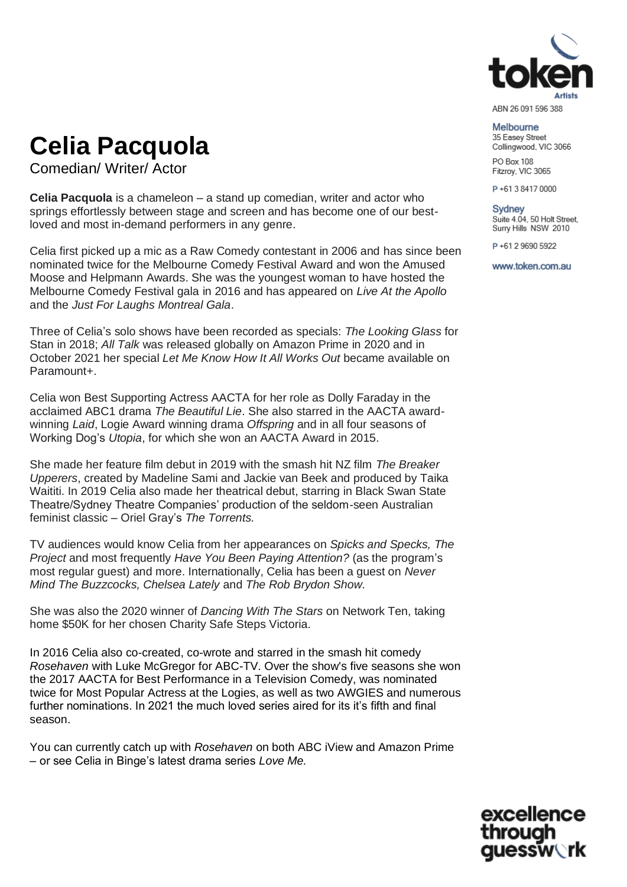

#### ABN 26 091 596 388

Melbourne 35 Easev Street Collingwood, VIC 3066

**PO Box 108** Fitzroy, VIC 3065

P+61384170000

**Sydney** Suite 4.04, 50 Holt Street, Surry Hills NSW 2010

P+61 2 9690 5922

www.token.com.au

## **Celia Pacquola**

Comedian/ Writer/ Actor

**Celia Pacquola** is a chameleon – a stand up comedian, writer and actor who springs effortlessly between stage and screen and has become one of our bestloved and most in-demand performers in any genre.

Celia first picked up a mic as a Raw Comedy contestant in 2006 and has since been nominated twice for the Melbourne Comedy Festival Award and won the Amused Moose and Helpmann Awards. She was the youngest woman to have hosted the Melbourne Comedy Festival gala in 2016 and has appeared on *Live At the Apollo*  and the *Just For Laughs Montreal Gala*.

Three of Celia's solo shows have been recorded as specials: *The Looking Glass* for Stan in 2018; *All Talk* was released globally on Amazon Prime in 2020 and in October 2021 her special *Let Me Know How It All Works Out* became available on Paramount+.

Celia won Best Supporting Actress AACTA for her role as Dolly Faraday in the acclaimed ABC1 drama *The Beautiful Lie*. She also starred in the AACTA awardwinning *Laid*, Logie Award winning drama *Offspring* and in all four seasons of Working Dog's *Utopia*, for which she won an AACTA Award in 2015.

She made her feature film debut in 2019 with the smash hit NZ film *The Breaker Upperers*, created by Madeline Sami and Jackie van Beek and produced by Taika Waititi. In 2019 Celia also made her theatrical debut, starring in Black Swan State Theatre/Sydney Theatre Companies' production of the seldom-seen Australian feminist classic – Oriel Gray's *The Torrents.*

TV audiences would know Celia from her appearances on *Spicks and Specks, The Project* and most frequently *Have You Been Paying Attention?* (as the program's most regular guest) and more. Internationally, Celia has been a guest on *Never Mind The Buzzcocks, Chelsea Lately* and *The Rob Brydon Show.*

She was also the 2020 winner of *Dancing With The Stars* on Network Ten, taking home \$50K for her chosen Charity Safe Steps Victoria.

In 2016 Celia also co-created, co-wrote and starred in the smash hit comedy *Rosehaven* with Luke McGregor for ABC-TV. Over the show's five seasons she won the 2017 AACTA for Best Performance in a Television Comedy, was nominated twice for Most Popular Actress at the Logies, as well as two AWGIES and numerous further nominations. In 2021 the much loved series aired for its it's fifth and final season.

You can currently catch up with *Rosehaven* on both ABC iView and Amazon Prime – or see Celia in Binge's latest drama series *Love Me.*

excellence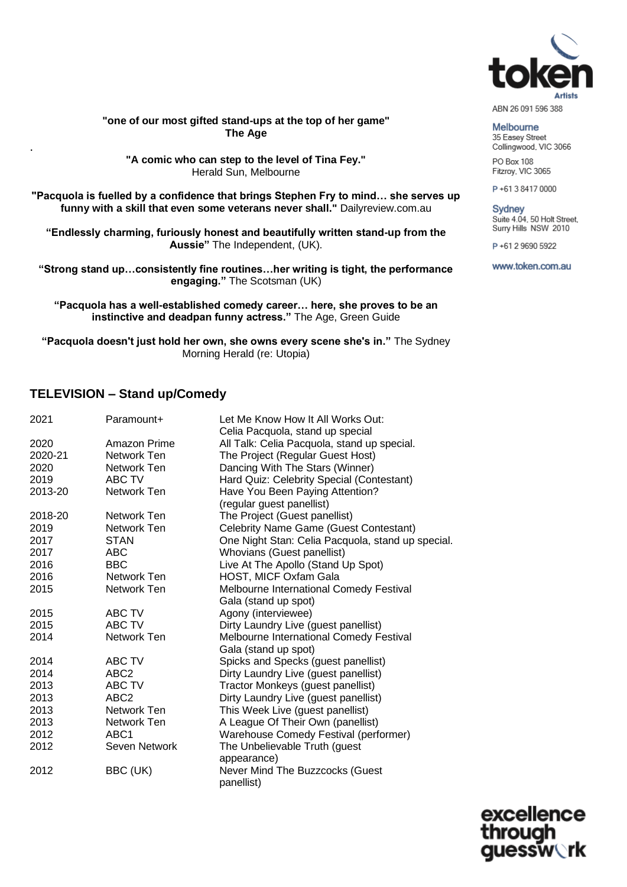

**"one of our most gifted stand-ups at the top of her game" The Age** 

**"A comic who can step to the level of Tina Fey."** Herald Sun, Melbourne

**"Pacquola is fuelled by a confidence that brings Stephen Fry to mind… she serves up funny with a skill that even some veterans never shall."** Dailyreview.com.au

**"Endlessly charming, furiously honest and beautifully written stand-up from the Aussie"** The Independent, (UK).

**"Strong stand up…consistently fine routines…her writing is tight, the performance engaging."** The Scotsman (UK)

**"Pacquola has a well-established comedy career… here, she proves to be an instinctive and deadpan funny actress."** The Age, Green Guide

**"Pacquola doesn't just hold her own, she owns every scene she's in."** The Sydney Morning Herald (re: Utopia)

### **TELEVISION – Stand up/Comedy**

.

| 2021    | Paramount+       | Let Me Know How It All Works Out:<br>Celia Pacquola, stand up special |
|---------|------------------|-----------------------------------------------------------------------|
| 2020    | Amazon Prime     | All Talk: Celia Pacquola, stand up special.                           |
| 2020-21 | Network Ten      | The Project (Regular Guest Host)                                      |
| 2020    | Network Ten      | Dancing With The Stars (Winner)                                       |
| 2019    | ABC TV           | Hard Quiz: Celebrity Special (Contestant)                             |
| 2013-20 | Network Ten      | Have You Been Paying Attention?<br>(regular guest panellist)          |
| 2018-20 | Network Ten      | The Project (Guest panellist)                                         |
| 2019    | Network Ten      | Celebrity Name Game (Guest Contestant)                                |
| 2017    | <b>STAN</b>      | One Night Stan: Celia Pacquola, stand up special.                     |
| 2017    | ABC              | Whovians (Guest panellist)                                            |
| 2016    | <b>BBC</b>       | Live At The Apollo (Stand Up Spot)                                    |
| 2016    | Network Ten      | HOST, MICF Oxfam Gala                                                 |
| 2015    | Network Ten      | Melbourne International Comedy Festival                               |
|         |                  | Gala (stand up spot)                                                  |
| 2015    | ABC TV           | Agony (interviewee)                                                   |
| 2015    | ABC TV           | Dirty Laundry Live (guest panellist)                                  |
| 2014    | Network Ten      | Melbourne International Comedy Festival                               |
|         |                  | Gala (stand up spot)                                                  |
| 2014    | ABC TV           | Spicks and Specks (guest panellist)                                   |
| 2014    | ABC <sub>2</sub> | Dirty Laundry Live (guest panellist)                                  |
| 2013    | ABC TV           | Tractor Monkeys (guest panellist)                                     |
| 2013    | ABC <sub>2</sub> | Dirty Laundry Live (guest panellist)                                  |
| 2013    | Network Ten      | This Week Live (guest panellist)                                      |
| 2013    | Network Ten      | A League Of Their Own (panellist)                                     |
| 2012    | ABC <sub>1</sub> | Warehouse Comedy Festival (performer)                                 |
| 2012    | Seven Network    | The Unbelievable Truth (guest                                         |
|         |                  | appearance)                                                           |
| 2012    | BBC (UK)         | Never Mind The Buzzcocks (Guest                                       |
|         |                  | panellist)                                                            |

**Melbourne** 35 Easey Street Collingwood, VIC 3066

**PO Box 108** 

Fitzroy, VIC 3065 P+61384170000

**Sydney** Suite 4.04, 50 Holt Street, Surry Hills NSW 2010

P+61 2 9690 5922

www.token.com.au

excellence **Iessw**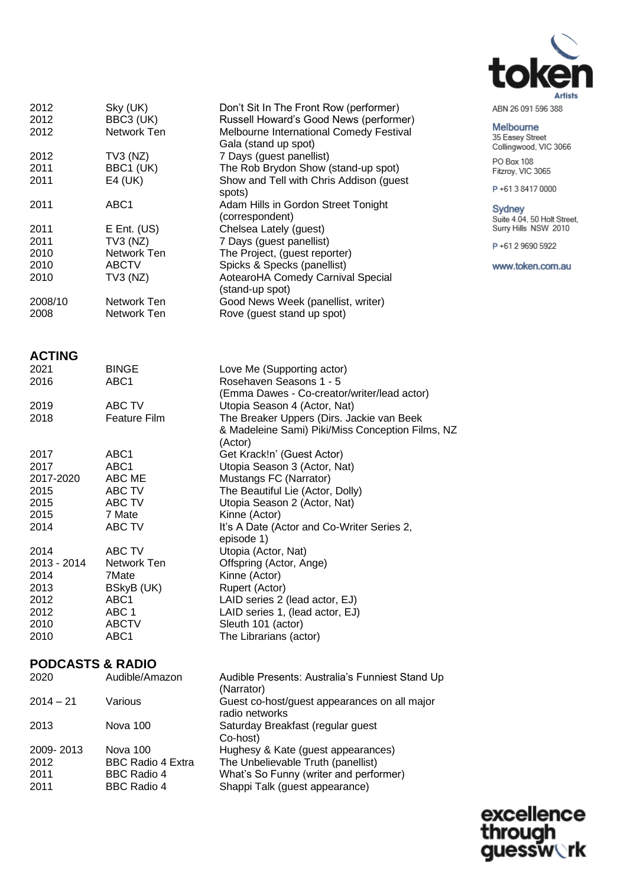

| 2012<br>2012<br>2012                                                | Sky (UK)<br>BBC3 (UK)<br>Network Ten                                                  | Don't Sit In The Front Row (performer)<br>Russell Howard's Good News (performer)<br>Melbourne International Comedy Festival<br>Gala (stand up spot)                                                                                   |
|---------------------------------------------------------------------|---------------------------------------------------------------------------------------|---------------------------------------------------------------------------------------------------------------------------------------------------------------------------------------------------------------------------------------|
| 2012<br>2011<br>2011                                                | $TV3$ (NZ)<br>BBC1 (UK)<br>E4 (UK)                                                    | 7 Days (guest panellist)<br>The Rob Brydon Show (stand-up spot)<br>Show and Tell with Chris Addison (guest<br>spots)                                                                                                                  |
| 2011                                                                | ABC <sub>1</sub>                                                                      | Adam Hills in Gordon Street Tonight<br>(correspondent)                                                                                                                                                                                |
| 2011<br>2011<br>2010<br>2010<br>2010                                | $E$ Ent. (US)<br>$TV3$ (NZ)<br>Network Ten<br><b>ABCTV</b><br>$TV3$ (NZ)              | Chelsea Lately (guest)<br>7 Days (guest panellist)<br>The Project, (guest reporter)<br>Spicks & Specks (panellist)<br>AotearoHA Comedy Carnival Special<br>(stand-up spot)                                                            |
| 2008/10<br>2008                                                     | Network Ten<br>Network Ten                                                            | Good News Week (panellist, writer)<br>Rove (guest stand up spot)                                                                                                                                                                      |
| <b>ACTING</b>                                                       |                                                                                       |                                                                                                                                                                                                                                       |
| 2021<br>2016                                                        | <b>BINGE</b><br>ABC <sub>1</sub>                                                      | Love Me (Supporting actor)<br>Rosehaven Seasons 1 - 5<br>(Emma Dawes - Co-creator/writer/lead actor)                                                                                                                                  |
| 2019<br>2018                                                        | <b>ABC TV</b><br><b>Feature Film</b>                                                  | Utopia Season 4 (Actor, Nat)<br>The Breaker Uppers (Dirs. Jackie van Beek<br>& Madeleine Sami) Piki/Miss Conception Films, NZ<br>(Actor)                                                                                              |
| 2017<br>2017<br>2017-2020<br>2015<br>2015<br>2015<br>2014           | ABC1<br>ABC1<br>ABC ME<br>ABC TV<br>ABC TV<br>7 Mate<br>ABC TV                        | Get Krack!n' (Guest Actor)<br>Utopia Season 3 (Actor, Nat)<br>Mustangs FC (Narrator)<br>The Beautiful Lie (Actor, Dolly)<br>Utopia Season 2 (Actor, Nat)<br>Kinne (Actor)<br>It's A Date (Actor and Co-Writer Series 2,<br>episode 1) |
| 2014<br>2013 - 2014<br>2014<br>2013<br>2012<br>2012<br>2010<br>2010 | ABC TV<br>Network Ten<br>7Mate<br>BSkyB (UK)<br>ABC1<br>ABC 1<br><b>ABCTV</b><br>ABC1 | Utopia (Actor, Nat)<br>Offspring (Actor, Ange)<br>Kinne (Actor)<br>Rupert (Actor)<br>LAID series 2 (lead actor, EJ)<br>LAID series 1, (lead actor, EJ)<br>Sleuth 101 (actor)<br>The Librarians (actor)                                |

### **PODCASTS & RADIO**

| 2020        | Audible/Amazon           | Audible Presents: Australia's Funniest Stand Up<br>(Narrator)  |
|-------------|--------------------------|----------------------------------------------------------------|
| $2014 - 21$ | Various                  | Guest co-host/guest appearances on all major<br>radio networks |
| 2013        | Nova 100                 | Saturday Breakfast (regular guest<br>Co-host)                  |
| 2009-2013   | Nova 100                 | Hughesy & Kate (guest appearances)                             |
| 2012        | <b>BBC Radio 4 Extra</b> | The Unbelievable Truth (panellist)                             |
| 2011        | <b>BBC Radio 4</b>       | What's So Funny (writer and performer)                         |
| 2011        | <b>BBC Radio 4</b>       | Shappi Talk (guest appearance)                                 |
|             |                          |                                                                |

ABN 26 091 596 388

Melbourne 35 Easey Street<br>Collingwood, VIC 3066

PO Box 108<br>Fitzroy, VIC 3065

P+61384170000

Sydney Suite 4.04, 50 Holt Street,<br>Suite 4.04, 50 Holt Street,

P+61 2 9690 5922

www.token.com.au

excellence<br>through<br>guessw**o**rk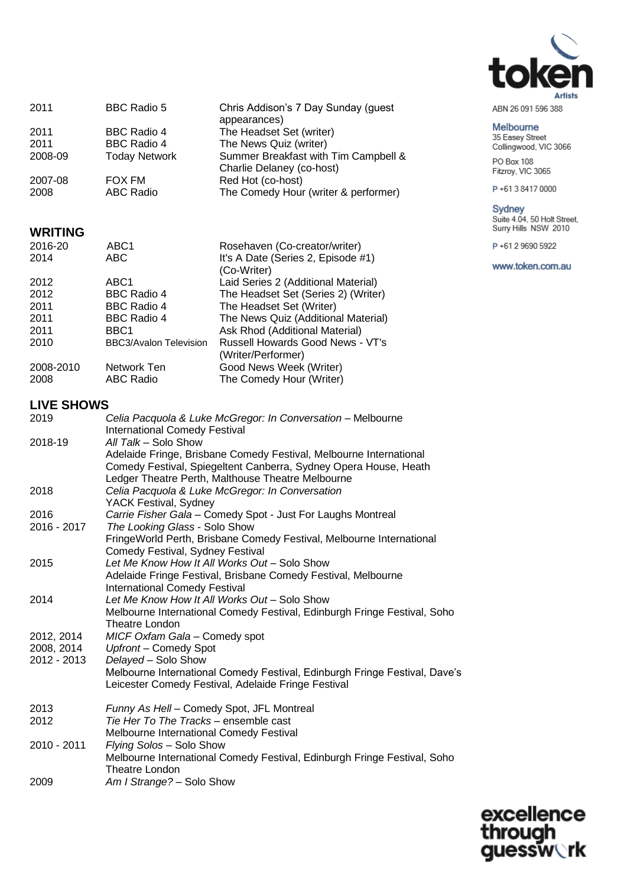

| ABN 26 091 596 388 |  |  |
|--------------------|--|--|

### Melbourne 35 Easey Street<br>Collingwood, VIC 3066

PO Box 108<br>Fitzroy, VIC 3065

P+61384170000

# Sydney<br>Suite 4.04, 50 Holt Street,<br>Surry Hills NSW 2010

P+61 2 9690 5922

www.token.com.au

| 2011    | <b>BBC Radio 5</b>   | Chris Addison's 7 Day Sunday (guest<br>appearances)               |
|---------|----------------------|-------------------------------------------------------------------|
| 2011    | <b>BBC Radio 4</b>   | The Headset Set (writer)                                          |
| 2011    | <b>BBC Radio 4</b>   | The News Quiz (writer)                                            |
| 2008-09 | <b>Today Network</b> | Summer Breakfast with Tim Campbell &<br>Charlie Delaney (co-host) |
| 2007-08 | <b>FOX FM</b>        | Red Hot (co-host)                                                 |
| 2008    | <b>ABC Radio</b>     | The Comedy Hour (writer & performer)                              |

### **WRITING**

| ABC <sub>1</sub>              | Rosehaven (Co-creator/writer)       |
|-------------------------------|-------------------------------------|
| ABC <sub></sub>               | It's A Date (Series 2, Episode #1)  |
|                               | (Co-Writer)                         |
| ABC <sub>1</sub>              | Laid Series 2 (Additional Material) |
| <b>BBC Radio 4</b>            | The Headset Set (Series 2) (Writer) |
| <b>BBC Radio 4</b>            | The Headset Set (Writer)            |
| <b>BBC Radio 4</b>            | The News Quiz (Additional Material) |
| BBC <sub>1</sub>              | Ask Rhod (Additional Material)      |
| <b>BBC3/Avalon Television</b> | Russell Howards Good News - VT's    |
|                               | (Writer/Performer)                  |
| Network Ten                   | Good News Week (Writer)             |
| <b>ABC Radio</b>              | The Comedy Hour (Writer)            |
|                               |                                     |

### **LIVE SHOWS**

| 2019        | Celia Pacquola & Luke McGregor: In Conversation - Melbourne<br><b>International Comedy Festival</b>                               |
|-------------|-----------------------------------------------------------------------------------------------------------------------------------|
| 2018-19     | All Talk - Solo Show<br>Adelaide Fringe, Brisbane Comedy Festival, Melbourne International                                        |
|             | Comedy Festival, Spiegeltent Canberra, Sydney Opera House, Heath<br>Ledger Theatre Perth, Malthouse Theatre Melbourne             |
| 2018        | Celia Pacquola & Luke McGregor: In Conversation                                                                                   |
|             | YACK Festival, Sydney                                                                                                             |
| 2016        | Carrie Fisher Gala - Comedy Spot - Just For Laughs Montreal                                                                       |
| 2016 - 2017 | The Looking Glass - Solo Show                                                                                                     |
|             | FringeWorld Perth, Brisbane Comedy Festival, Melbourne International                                                              |
|             | Comedy Festival, Sydney Festival                                                                                                  |
| 2015        | Let Me Know How It All Works Out - Solo Show                                                                                      |
|             | Adelaide Fringe Festival, Brisbane Comedy Festival, Melbourne                                                                     |
|             | <b>International Comedy Festival</b>                                                                                              |
| 2014        | Let Me Know How It All Works Out - Solo Show                                                                                      |
|             | Melbourne International Comedy Festival, Edinburgh Fringe Festival, Soho                                                          |
|             | Theatre London                                                                                                                    |
| 2012, 2014  | MICF Oxfam Gala - Comedy spot                                                                                                     |
| 2008, 2014  | Upfront - Comedy Spot                                                                                                             |
| 2012 - 2013 | Delayed - Solo Show                                                                                                               |
|             | Melbourne International Comedy Festival, Edinburgh Fringe Festival, Dave's<br>Leicester Comedy Festival, Adelaide Fringe Festival |
| 2013        | Funny As Hell - Comedy Spot, JFL Montreal                                                                                         |
| 2012        | Tie Her To The Tracks - ensemble cast                                                                                             |
|             | Melbourne International Comedy Festival                                                                                           |
| 2010 - 2011 | Flying Solos - Solo Show                                                                                                          |
|             | Melbourne International Comedy Festival, Edinburgh Fringe Festival, Soho                                                          |
|             | Theatre London                                                                                                                    |
| 2009        | Am I Strange? - Solo Show                                                                                                         |

excellence<br>through<br>guessw**ork**